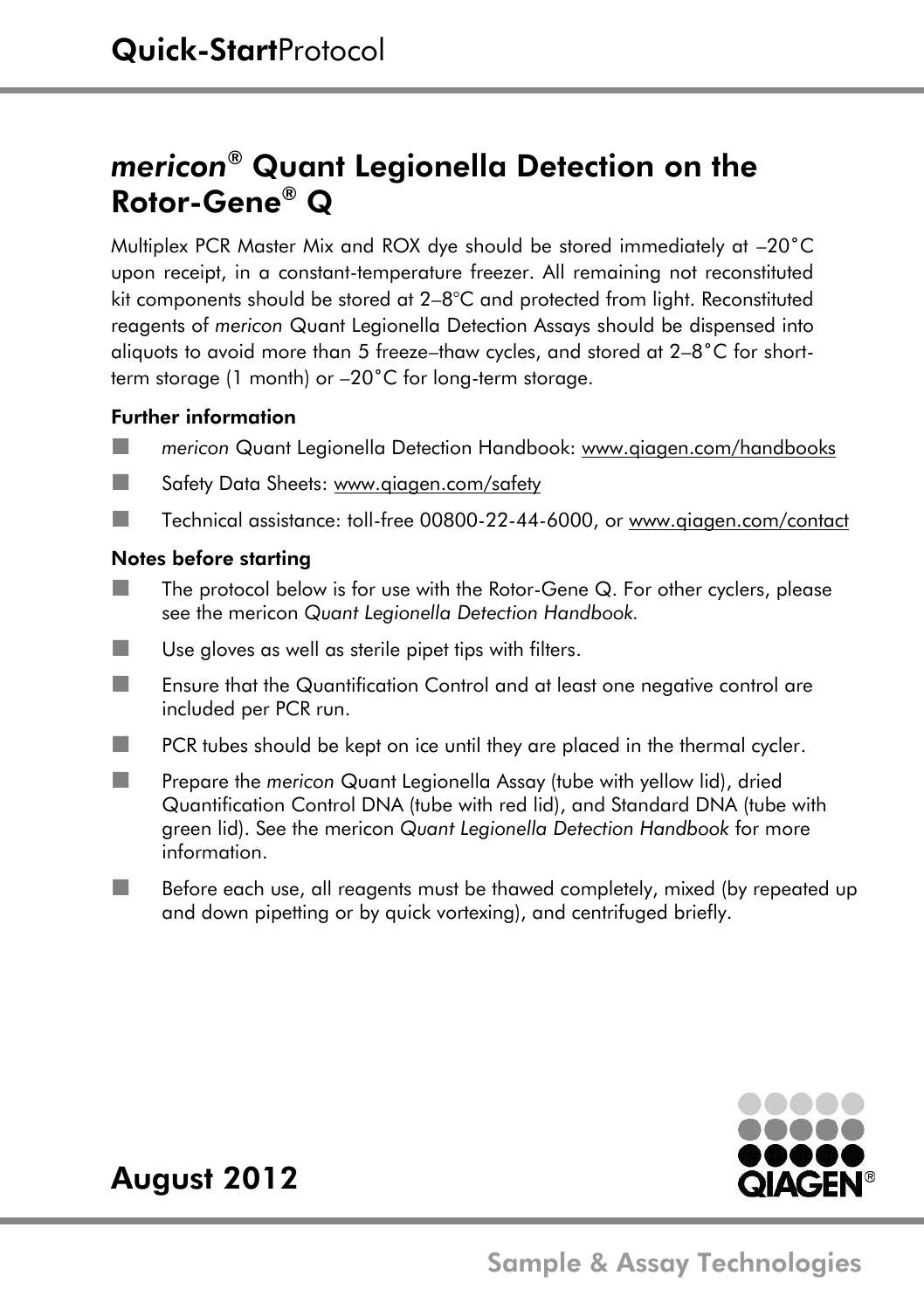# *mericon®* Quant Legionella Detection on the Rotor-Gene® Q

Multiplex PCR Master Mix and ROX dye should be stored immediately at –20˚C upon receipt, in a constant-temperature freezer. All remaining not reconstituted kit components should be stored at 2–8°C and protected from light. Reconstituted reagents of *mericon* Quant Legionella Detection Assays should be dispensed into aliquots to avoid more than 5 freeze–thaw cycles, and stored at 2–8˚C for shortterm storage (1 month) or –20˚C for long-term storage.

### Further information

- **The** *mericon* Quant Legionella Detection Handbook: www.giagen.com/handbooks
- **Safety Data Sheets: www.aiggen.com/safety**
- Technical assistance: toll-free 00800-22-44-6000, or [www.qiagen.com/contact](http://www.qiagen.com/contact)

### Notes before starting

- $\blacksquare$  The protocol below is for use with the Rotor-Gene Q. For other cyclers, please see the mericon *Quant Legionella Detection Handbook.*
- $\blacksquare$  Use gloves as well as sterile pipet tips with filters.
- **Example 15 Ensure that the Quantification Control and at least one negative control are** included per PCR run.
- $\blacksquare$  PCR tubes should be kept on ice until they are placed in the thermal cycler.
- **Prepare the** *mericon* Quant Legionella Assay (tube with yellow lid), dried Quantification Control DNA (tube with red lid), and Standard DNA (tube with green lid). See the mericon *Quant Legionella Detection Handbook* for more information.
- Before each use, all reagents must be thawed completely, mixed (by repeated up and down pipetting or by quick vortexing), and centrifuged briefly.



## August 2012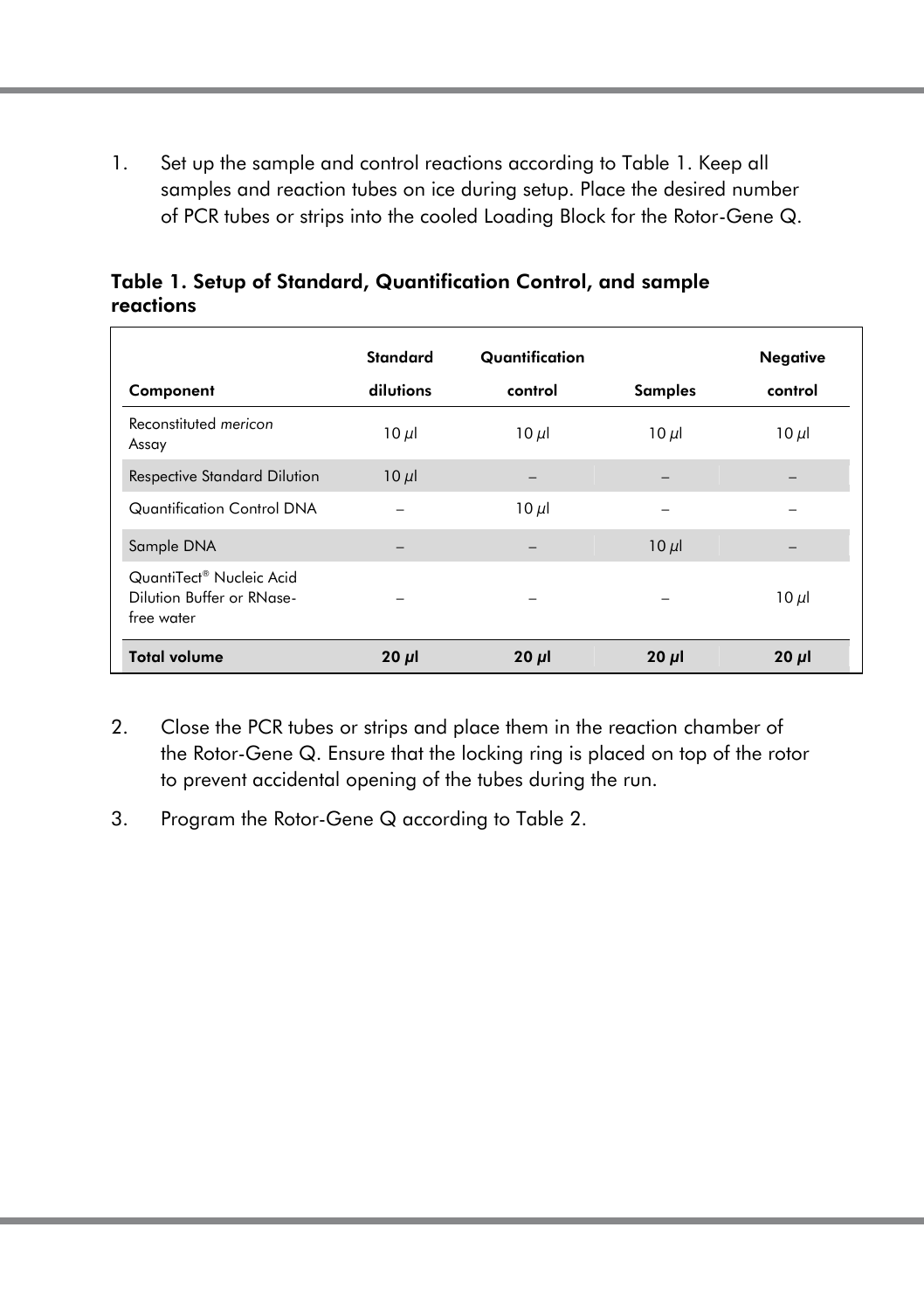1. Set up the sample and control reactions according to Table 1. Keep all samples and reaction tubes on ice during setup. Place the desired number of PCR tubes or strips into the cooled Loading Block for the Rotor-Gene Q.

| Component                                                                       | <b>Standard</b><br>dilutions | Quantification<br>control | <b>Samples</b> | Negative<br>control |
|---------------------------------------------------------------------------------|------------------------------|---------------------------|----------------|---------------------|
| Reconstituted mericon<br>Assay                                                  | $10 \mu$                     | $10 \mu$                  | $10 \mu$       | $10 \mu$            |
| <b>Respective Standard Dilution</b>                                             | $10 \mu$                     |                           |                |                     |
| Quantification Control DNA                                                      |                              | $10 \mu$                  |                |                     |
| Sample DNA                                                                      |                              |                           | $10 \mu$       |                     |
| QuantiTect <sup>®</sup> Nucleic Acid<br>Dilution Buffer or RNase-<br>free water |                              |                           |                | $10 \mu$            |
| <b>Total volume</b>                                                             | $20 \mu$                     | $20 \mu$                  | $20 \mu$       | $20 \mu$            |

Table 1. Setup of Standard, Quantification Control, and sample reactions

- 2. Close the PCR tubes or strips and place them in the reaction chamber of the Rotor-Gene Q. Ensure that the locking ring is placed on top of the rotor to prevent accidental opening of the tubes during the run.
- 3. Program the Rotor-Gene Q according to Table 2.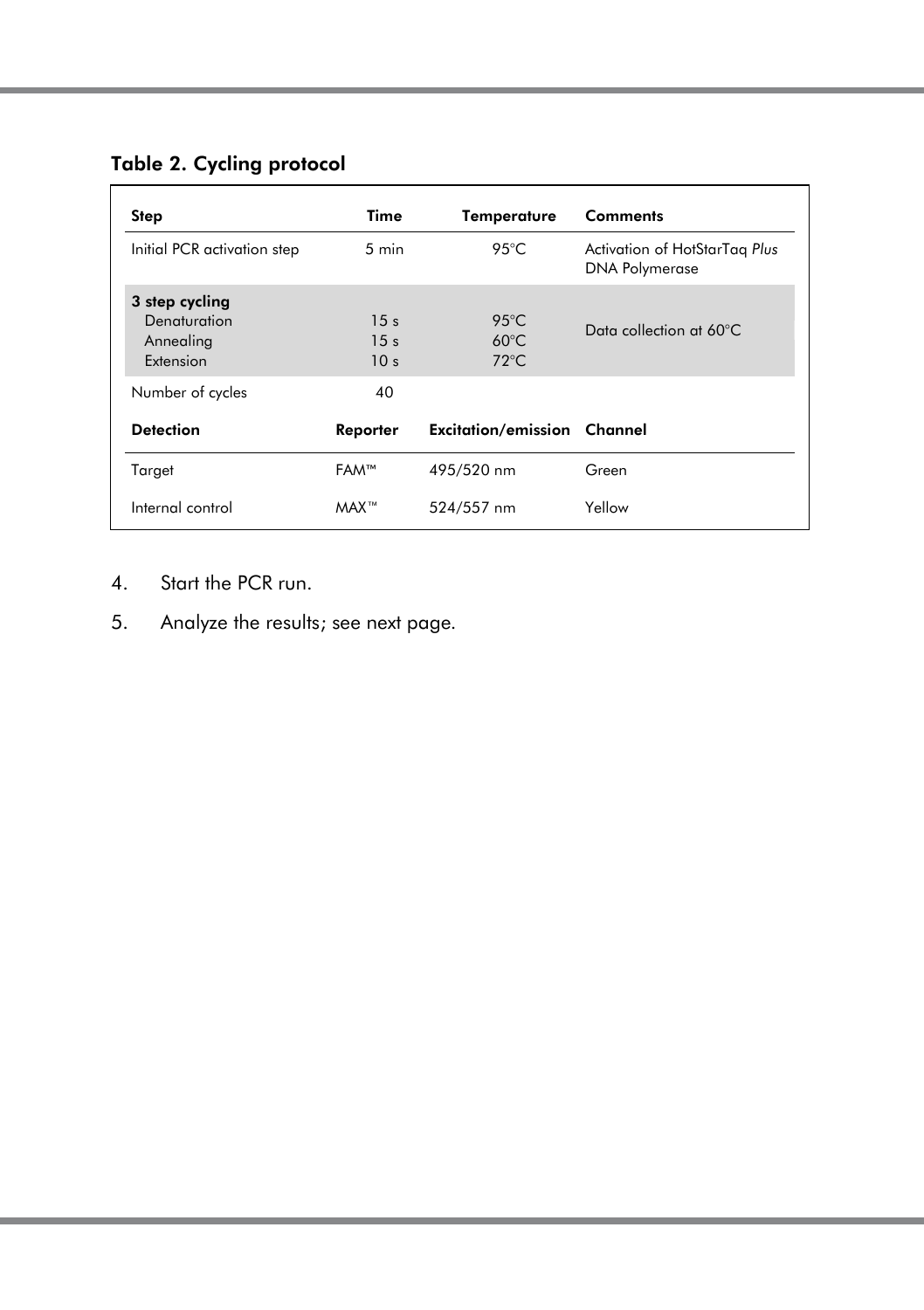### Table 2. Cycling protocol

| Step                                                     | Time                                                  | Temperature                                         | <b>Comments</b>                                        |
|----------------------------------------------------------|-------------------------------------------------------|-----------------------------------------------------|--------------------------------------------------------|
| Initial PCR activation step                              | $5 \text{ min}$                                       | 95°C                                                | Activation of HotStarTag Plus<br><b>DNA Polymerase</b> |
| 3 step cycling<br>Denaturation<br>Annealing<br>Extension | 15 <sub>s</sub><br>15 <sub>s</sub><br>10 <sub>s</sub> | $95^{\circ}$ C<br>$60^{\circ}$ C<br>$72^{\circ}$ C. | Data collection at 60°C                                |
| Number of cycles                                         | 40                                                    |                                                     |                                                        |
| <b>Detection</b>                                         | Reporter                                              | <b>Excitation/emission Channel</b>                  |                                                        |
| Target                                                   | FAM™                                                  | 495/520 nm                                          | Green                                                  |
| Internal control                                         | MAX <sup>™</sup>                                      | 524/557 nm                                          | Yellow                                                 |

- 4. Start the PCR run.
- 5. Analyze the results; see next page*.*